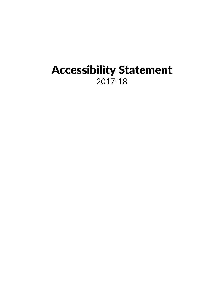# Accessibility Statement 2017-18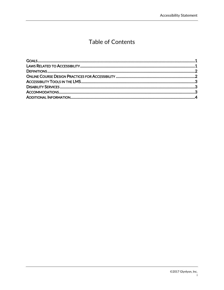## Table of Contents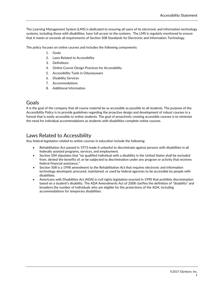The Learning Management System (LMS) is dedicated to ensuring all users of its electronic and information technology systems, including those with disabilities, have full access to the systems. The LMS is regularly monitored to ensure that it meets or exceeds all requirements of Section 508 Standards for Electronic and Information Technology.

The policy focuses on online courses and includes the following components:

- 1. Goals
- 2. Laws Related to Accessibility
- 3. Definitions
- 4. Online Course Design Practices for Accessibility
- 5. Accessibility Tools in Odysseyware
- 6. Disability Services
- 7. Accommodations
- 8. Additional Information

#### <span id="page-2-0"></span>Goals

It is the goal of the company that all course material be as accessible as possible to all students. The purpose of the Accessibility Policy is to provide guidelines regarding the proactive design and development of robust courses in a format that is easily accessible to online students. The goal of proactively creating accessible courses is to minimize the need for individual accommodations as students with disabilities complete online courses.

### <span id="page-2-1"></span>Laws Related to Accessibility

Key federal legislation related to online courses in education include the following:

- Rehabilitation Act passed in 1973 made it unlawful to discriminate against persons with disabilities in all federally assisted programs, services, and employment.
- Section 504 stipulates that "no qualified individual with a disability in the United States shall be excluded from, denied the benefits of, or be subjected to discrimination under any program or activity that receives federal financial assistance."
- Section 508 is a 1998 amendment to the Rehabilitation Act that requires electronic and information technology developed, procured, maintained, or used by federal agencies to be accessible by people with disabilities.
- Americans with Disabilities Act (ADA) is civil rights legislation enacted in 1990 that prohibits discrimination based on a student's disability. The ADA Amendments Act of 2008 clarifies the definition of "disability" and broadens the number of individuals who are eligible for the protections of the ADA, including accommodations for temporary disabilities.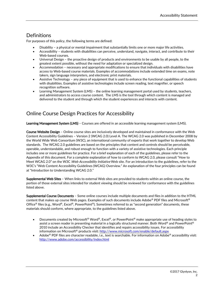## <span id="page-3-0"></span>**Definitions**

For purposes of this policy, the following terms are defined:

- Disability a physical or mental impairment that substantially limits one or more major life activities.
- Accessibility students with disabilities can perceive, understand, navigate, interact, and contribute to their Web-based courses.
- Universal Design the proactive design of products and environments to be usable by all people, to the greatest extent possible, without the need for adaptation or specialized design.
- Accommodation necessary and appropriate modifications to ensure that individuals with disabilities have access to Web-based course materials. Examples of accommodations include extended time on exams, note takers, sign language interpreters, and electronic print materials.
- Assistive Technology any piece of equipment that is used to enhance the functional capabilities of students with disabilities. Examples of assistive technologies include screen reading, text magnifier, or speech recognition software.
- Learning Management System (LMS) the online learning management portal used by students, teachers, and administrators to access course content. The LMS is the tool through which content is managed and delivered to the student and through which the student experiences and interacts with content.

## <span id="page-3-1"></span>Online Course Design Practices for Accessibility

Learning Management System (LMS) - Courses are offered in an accessible learning management system (LMS).

Course Website Design – Online course sites are inclusively developed and maintained in conformance with the Web Content Accessibility Guidelines – Version 2 (WCAG 2.0) Level A. The WCAG 2.0 was published in December 2008 by the World Wide Web Consortium (W3C), an international community of experts that work together to develop Web standards. The WCAG 2.0 guidelines are based on the principles that content and controls should be perceivable, operable, understandable, and robust enough to function with a variety of assistive technologies. Each principle includes one or more guidelines for practice. For a brief explanation of each of the guidelines, please refer to the Appendix of this document. For a complete explanation of how to conform to WCAG 2.0, please consult "How to Meet WCAG 2.0" on the W3C Web Accessibility Initiative Web site. For an introduction to the guidelines, refer to the W3C's "Web Content Accessibility Guidelines (WCAG) Overview." An explanation of the four principles can be found at "Introduction to Understanding WCAG 2.0."

Supplemental Web Sites – When links to external Web sites are provided to students within an online course, the portion of those external sites intended for student viewing should be reviewed for conformance with the guidelines listed above.

Supplemental Course Documents – Some online courses include multiple documents and files in addition to the HTML content that makes up course Web pages. Examples of such documents include Adobe® PDF files and Microsoft® Office® files (e.g., Word®, Excel®, PowerPoint®). Sometimes referred to as "second generation" documents, these materials should conform, where appropriate, to the guidelines listed above.

- Documents created by Microsoft® Word®, Excel®, or PowerPoint® make appropriate use of heading styles to assist a screen reader in presenting material in a logically structured manner. Both Word® and PowerPoint® 2010 include an Accessibility Checker that identifies and repairs accessibility issues. For accessibility information on Microsoft® products visit[: http://www.microsoft.com/enable/default.aspx](http://www.microsoft.com/enable/default.aspx)
- Adobe® PDF files are character readable, i.e., text is searchable. For information on Adobe® accessibility visit: <http://www.adobe.com/accessibility/index.html>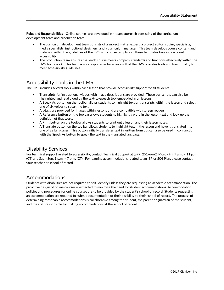Roles and Responsibilities - Online courses are developed in a team approach consisting of the curriculum development team and production team.

- The curriculum development team consists of a subject matter expert, a project editor, coding specialists, media specialists, instructional designers, and a curriculum manager. This team develops course content and materials within the guidelines of the LMS and course templates. These templates take into account accessibility.
- The production team ensures that each course meets company standards and functions effectively within the LMS framework. This team is also responsible for ensuring that the LMS provides tools and functionality to meet accessibility guidelines.

## <span id="page-4-0"></span>Accessibility Tools in the LMS

The LMS includes several tools within each lesson that provide accessibility support for all students.

- Transcripts for instructional videos with image descriptions are provided. These transcripts can also be highlighted and read aloud by the text-to-speech tool embedded in all lessons.
- A Speak As button on the toolbar allows students to highlight text or transcripts within the lesson and select one of six voices to speak the text.
- Alt-tags are provided for images within lessons and are compatible with screen readers.
- A Reference button on the toolbar allows students to highlight a word in the lesson text and look up the definition of that word.
- A Print button on the toolbar allows students to print out a lesson and their lesson notes.
- A Translate button on the toolbar allows students to highlight text in the lesson and have it translated into one of 22 languages. This button initially translates text in written form but can also be used in conjunction with the Speak As button to speak the text in the translated language.

### <span id="page-4-1"></span>Disability Services

For technical support related to accessibility, contact Technical Support at (877) 251-6662, Mon. - Fri. 7 a.m. – 11 p.m. (CT) and Sat. - Sun. 1 p.m. – 7 p.m. (CT). For learning accommodations related to an IEP or 504 Plan, please contact your teacher or school of record.

## <span id="page-4-2"></span>Accommodations

Students with disabilities are not required to self-identify unless they are requesting an academic accommodation. The proactive design of online courses is expected to minimize the need for student accommodations. Accommodation policies and procedures for online courses are to be provided by the student's school of record. Students requesting an accommodation are required to submit documentation of their disability to their school of record. The process of determining reasonable accommodations is collaborative among the student, the parent or guardian of the student, and the staff responsible for making accommodations at the school of record.